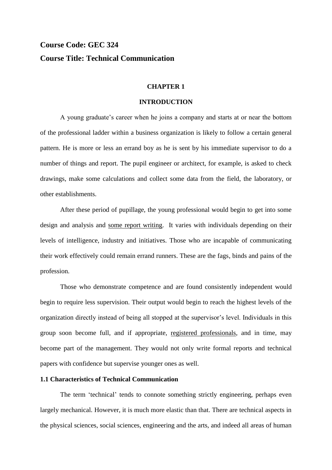# **Course Code: GEC 324 Course Title: Technical Communication**

#### **CHAPTER 1**

### **INTRODUCTION**

A young graduate's career when he joins a company and starts at or near the bottom of the professional ladder within a business organization is likely to follow a certain general pattern. He is more or less an errand boy as he is sent by his immediate supervisor to do a number of things and report. The pupil engineer or architect, for example, is asked to check drawings, make some calculations and collect some data from the field, the laboratory, or other establishments.

After these period of pupillage, the young professional would begin to get into some design and analysis and some report writing. It varies with individuals depending on their levels of intelligence, industry and initiatives. Those who are incapable of communicating their work effectively could remain errand runners. These are the fags, binds and pains of the profession.

Those who demonstrate competence and are found consistently independent would begin to require less supervision. Their output would begin to reach the highest levels of the organization directly instead of being all stopped at the supervisor's level. Individuals in this group soon become full, and if appropriate, registered professionals, and in time, may become part of the management. They would not only write formal reports and technical papers with confidence but supervise younger ones as well.

# **1.1 Characteristics of Technical Communication**

The term 'technical' tends to connote something strictly engineering, perhaps even largely mechanical. However, it is much more elastic than that. There are technical aspects in the physical sciences, social sciences, engineering and the arts, and indeed all areas of human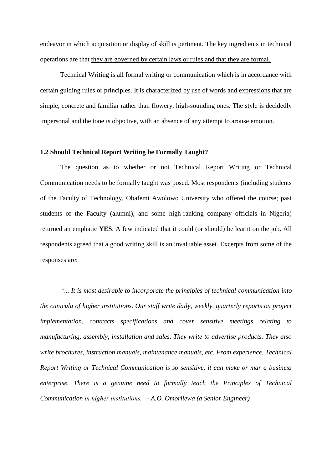endeavor in which acquisition or display of skill is pertinent. The key ingredients in technical operations are that they are governed by certain laws or rules and that they are formal.

Technical Writing is all formal writing or communication which is in accordance with certain guiding rules or principles. It is characterized by use of words and expressions that are simple, concrete and familiar rather than flowery, high-sounding ones. The style is decidedly impersonal and the tone is objective, with an absence of any attempt to arouse emotion.

## **1.2 Should Technical Report Writing be Formally Taught?**

The question as to whether or not Technical Report Writing or Technical Communication needs to be formally taught was posed. Most respondents (including students of the Faculty of Technology, Obafemi Awolowo University who offered the course; past students of the Faculty (alumni), and some high-ranking company officials in Nigeria) returned an emphatic **YES**. A few indicated that it could (or should) be learnt on the job. All respondents agreed that a good writing skill is an invaluable asset. Excerpts from some of the responses are:

'... *It is most desirable to incorporate the principles of technical communication into the cunicula of higher institutions. Our staff write daily, weekly, quarterly reports on project implementation, contracts specifications and cover sensitive meetings relating to manufacturing, assembly, installation and sales. They write to advertise products. They also write brochures, instruction manuals, maintenance manuals, etc. From experience, Technical Report Writing or Technical Communication is so sensitive, it can make or mar a business enterprise. There is a genuine need to formally teach the Principles of Technical Communication in higher institutions." – A.O. Omorilewa (a Senior Engineer)*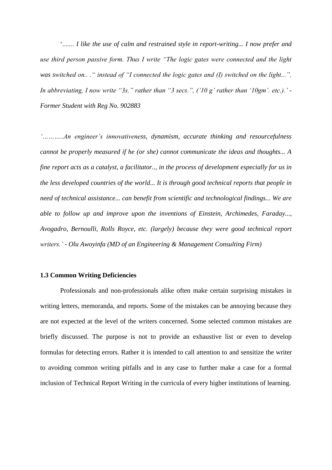'....... *I like the use of calm and restrained style in report-writing... I now prefer and use third person passive form. Thus I write "The logic gates were connected and the light was switched on.. ." instead of "I connected the logic gates and (I) switched on the light...". In abbreviating, I now write "3s." rather than "3 secs.", ('10 g' rather than '10gm'. etc.).' -Former Student with Reg No. 902883*

*"………..An engineer"s innovativeness, dynamism, accurate thinking and resourcefulness cannot be properly measured if he (or she) cannot communicate the ideas and thoughts... A fine report acts as a catalyst, a facilitator.., in the process of development especially for us in the less developed countries of the world... It is through good technical reports that people in need of technical assistance... can benefit from scientific and technological findings... We are able to follow up and improve upon the inventions of Einstein, Archimedes, Faraday..., Avogadro, Bernoulli, Rolls Royce, etc. (largely) because they were good technical report writers." - Olu Awoyinfa (MD of an Engineering & Management Consulting Firm)*

## **1.3 Common Writing Deficiencies**

Professionals and non-professionals alike often make certain surprising mistakes in writing letters, memoranda, and reports. Some of the mistakes can be annoying because they are not expected at the level of the writers concerned. Some selected common mistakes are briefly discussed. The purpose is not to provide an exhaustive list or even to develop formulas for detecting errors. Rather it is intended to call attention to and sensitize the writer to avoiding common writing pitfalls and in any case to further make a case for a formal inclusion of Technical Report Writing in the curricula of every higher institutions of learning.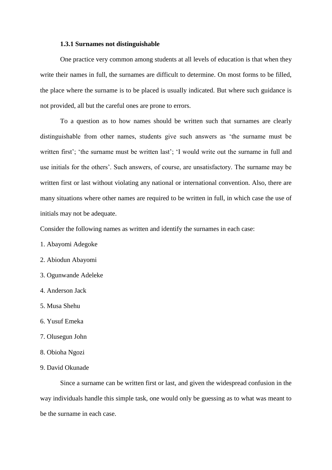#### **1.3.1 Surnames not distinguishable**

One practice very common among students at all levels of education is that when they write their names in full, the surnames are difficult to determine. On most forms to be filled, the place where the surname is to be placed is usually indicated. But where such guidance is not provided, all but the careful ones are prone to errors.

To a question as to how names should be written such that surnames are clearly distinguishable from other names, students give such answers as 'the surname must be written first'; 'the surname must be written last'; 'I would write out the surname in full and use initials for the others'. Such answers, of course, are unsatisfactory. The surname may be written first or last without violating any national or international convention. Also, there are many situations where other names are required to be written in full, in which case the use of initials may not be adequate.

Consider the following names as written and identify the surnames in each case:

- 1. Abayomi Adegoke
- 2. Abiodun Abayomi
- 3. Ogunwande Adeleke
- 4. Anderson Jack
- 5. Musa Shehu
- 6. Yusuf Emeka
- 7. Olusegun John
- 8. Obioha Ngozi
- 9. David Okunade

Since a surname can be written first or last, and given the widespread confusion in the way individuals handle this simple task, one would only be guessing as to what was meant to be the surname in each case.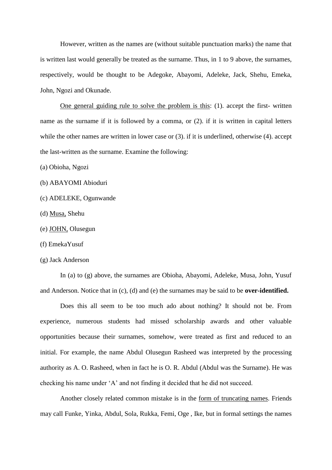However, written as the names are (without suitable punctuation marks) the name that is written last would generally be treated as the surname. Thus, in 1 to 9 above, the surnames, respectively, would be thought to be Adegoke, Abayomi, Adeleke, Jack, Shehu, Emeka, John, Ngozi and Okunade.

One general guiding rule to solve the problem is this: (1). accept the first- written name as the surname if it is followed by a comma, or (2). if it is written in capital letters while the other names are written in lower case or (3). if it is underlined, otherwise (4). accept the last-written as the surname. Examine the following:

(a) Obioha, Ngozi

- (b) ABAYOMI Abioduri
- (c) ADELEKE, Ogunwande
- (d) Musa, Shehu
- (e) JOHN, Olusegun
- (f) EmekaYusuf
- (g) Jack Anderson

In (a) to (g) above, the surnames are Obioha, Abayomi, Adeleke, Musa, John, Yusuf and Anderson. Notice that in (c), (d) and (e) the surnames may be said to be **over-identified.**

Does this all seem to be too much ado about nothing? It should not be. From experience, numerous students had missed scholarship awards and other valuable opportunities because their surnames, somehow, were treated as first and reduced to an initial. For example, the name Abdul Olusegun Rasheed was interpreted by the processing authority as A. O. Rasheed, when in fact he is O. R. Abdul (Abdul was the Surname). He was checking his name under 'A' and not finding it decided that he did not succeed.

Another closely related common mistake is in the form of truncating names. Friends may call Funke, Yinka, Abdul, Sola, Rukka, Femi, Oge , Ike, but in formal settings the names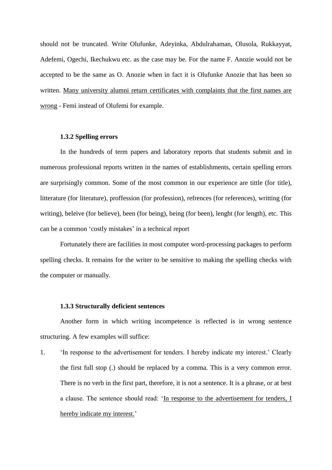should not be truncated. Write Olufunke, Adeyinka, Abdulrahaman, Olusola, Rukkayyat, Adefemi, Ogechi, Ikechukwu etc. as the case may be. For the name F. Anozie would not be accepted to be the same as O. Anozie when in fact it is Olufunke Anozie that has been so written. Many university alumni return certificates with complaints that the first names are wrong - Femi instead of Olufemi for example.

### **1.3.2 Spelling errors**

In the hundreds of term papers and laboratory reports that students submit and in numerous professional reports written in the names of establishments, certain spelling errors are surprisingly common. Some of the most common in our experience are tittle (for title), litterature (for literature), proffession (for profession), refrences (for references), writting (for writing), beleive (for believe), been (for being), being (for been), lenght (for length), etc. This can be a common 'costly mistakes' in a technical report

Fortunately there are facilities in most computer word-processing packages to perform spelling checks. It remains for the writer to be sensitive to making the spelling checks with the computer or manually.

#### **1.3.3 Structurally deficient sentences**

Another form in which writing incompetence is reflected is in wrong sentence structuring. A few examples will suffice:

1. 'In response to the advertisement for tenders. I hereby indicate my interest.' Clearly the first full stop (.) should be replaced by a comma. This is a very common error. There is no verb in the first part, therefore, it is not a sentence. It is a phrase, or at best a clause. The sentence should read: 'In response to the advertisement for tenders, I hereby indicate my interest.'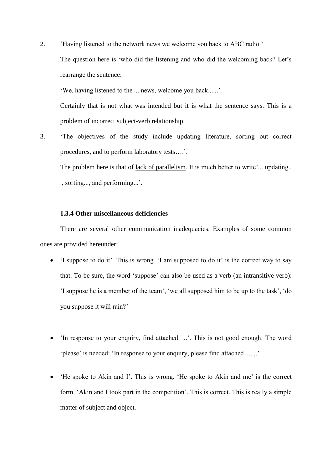2. 'Having listened to the network news we welcome you back to ABC radio.'

The question here is 'who did the listening and who did the welcoming back? Let's rearrange the sentence:

'We, having listened to the ... news, welcome you back......'.

Certainly that is not what was intended but it is what the sentence says. This is a problem of incorrect subject-verb relationship.

3. 'The objectives of the study include updating literature, sorting out correct procedures, and to perform laboratory tests….'.

The problem here is that of lack of parallelism. It is much better to write'... updating.. ., sorting..., and performing...'.

# **1.3.4 Other miscellaneous deficiencies**

There are several other communication inadequacies. Examples of some common ones are provided hereunder:

- 'I suppose to do it'. This is wrong. 'I am supposed to do it' is the correct way to say that. To be sure, the word 'suppose' can also be used as a verb (an intransitive verb): 'I suppose he is a member of the team', 'we all supposed him to be up to the task', 'do you suppose it will rain?'
- 'In response to your enquiry, find attached. ...'. This is not good enough. The word 'please' is needed: 'In response to your enquiry, please find attached…..,.'
- 'He spoke to Akin and I'. This is wrong. 'He spoke to Akin and me' is the correct form. 'Akin and I took part in the competition'. This is correct. This is really a simple matter of subject and object.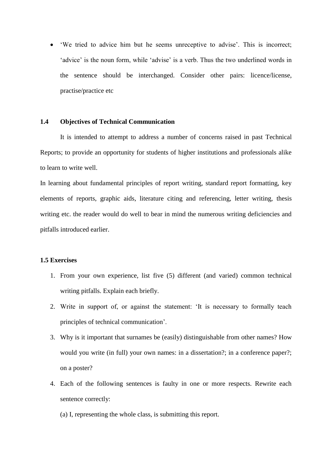'We tried to advice him but he seems unreceptive to advise'. This is incorrect; 'advice' is the noun form, while 'advise' is a verb. Thus the two underlined words in the sentence should be interchanged. Consider other pairs: licence/license, practise/practice etc

## **1.4 Objectives of Technical Communication**

It is intended to attempt to address a number of concerns raised in past Technical Reports; to provide an opportunity for students of higher institutions and professionals alike to learn to write well.

In learning about fundamental principles of report writing, standard report formatting, key elements of reports, graphic aids, literature citing and referencing, letter writing, thesis writing etc. the reader would do well to bear in mind the numerous writing deficiencies and pitfalls introduced earlier.

# **1.5 Exercises**

- 1. From your own experience, list five (5) different (and varied) common technical writing pitfalls. Explain each briefly.
- 2. Write in support of, or against the statement: 'It is necessary to formally teach principles of technical communication'.
- 3. Why is it important that surnames be (easily) distinguishable from other names? How would you write (in full) your own names: in a dissertation?; in a conference paper?; on a poster?
- 4. Each of the following sentences is faulty in one or more respects. Rewrite each sentence correctly:
	- (a) I, representing the whole class, is submitting this report.